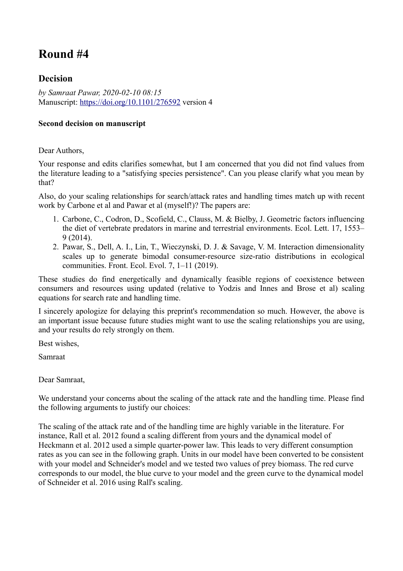# **Round #4**

## **Decision**

*by Samraat Pawar, 2020-02-10 08:15* Manuscript:<https://doi.org/10.1101/276592>version 4

### **Second decision on manuscript**

### Dear Authors,

Your response and edits clarifies somewhat, but I am concerned that you did not find values from the literature leading to a "satisfying species persistence". Can you please clarify what you mean by that?

Also, do your scaling relationships for search/attack rates and handling times match up with recent work by Carbone et al and Pawar et al (myself!)? The papers are:

- 1. Carbone, C., Codron, D., Scofield, C., Clauss, M. & Bielby, J. Geometric factors influencing the diet of vertebrate predators in marine and terrestrial environments. Ecol. Lett. 17, 1553– 9 (2014).
- 2. Pawar, S., Dell, A. I., Lin, T., Wieczynski, D. J. & Savage, V. M. Interaction dimensionality scales up to generate bimodal consumer-resource size-ratio distributions in ecological communities. Front. Ecol. Evol. 7, 1–11 (2019).

These studies do find energetically and dynamically feasible regions of coexistence between consumers and resources using updated (relative to Yodzis and Innes and Brose et al) scaling equations for search rate and handling time.

I sincerely apologize for delaying this preprint's recommendation so much. However, the above is an important issue because future studies might want to use the scaling relationships you are using, and your results do rely strongly on them.

Best wishes,

Samraat

Dear Samraat,

We understand your concerns about the scaling of the attack rate and the handling time. Please find the following arguments to justify our choices:

The scaling of the attack rate and of the handling time are highly variable in the literature. For instance, Rall et al. 2012 found a scaling different from yours and the dynamical model of Heckmann et al. 2012 used a simple quarter-power law. This leads to very different consumption rates as you can see in the following graph. Units in our model have been converted to be consistent with your model and Schneider's model and we tested two values of prey biomass. The red curve corresponds to our model, the blue curve to your model and the green curve to the dynamical model of Schneider et al. 2016 using Rall's scaling.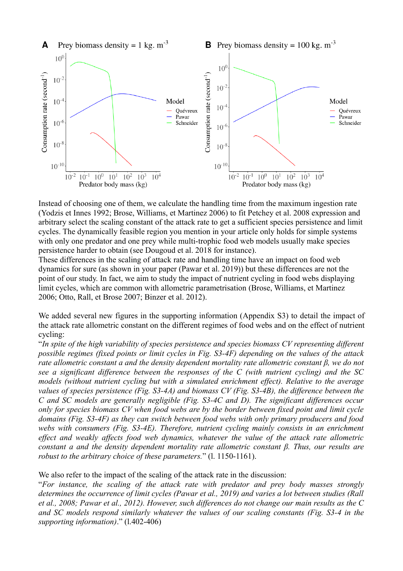

Instead of choosing one of them, we calculate the handling time from the maximum ingestion rate (Yodzis et Innes 1992; Brose, Williams, et Martinez 2006) to fit Petchey et al. 2008 expression and arbitrary select the scaling constant of the attack rate to get a sufficient species persistence and limit cycles. The dynamically feasible region you mention in your article only holds for simple systems with only one predator and one prey while multi-trophic food web models usually make species persistence harder to obtain (see Dougoud et al. 2018 for instance).

These differences in the scaling of attack rate and handling time have an impact on food web dynamics for sure (as shown in your paper (Pawar et al. 2019)) but these differences are not the point of our study. In fact, we aim to study the impact of nutrient cycling in food webs displaying limit cycles, which are common with allometric parametrisation (Brose, Williams, et Martinez 2006; Otto, Rall, et Brose 2007; Binzer et al. 2012).

We added several new figures in the supporting information (Appendix S3) to detail the impact of the attack rate allometric constant on the different regimes of food webs and on the effect of nutrient cycling:

"*In spite of the high variability of species persistence and species biomass CV representing different possible regimes (fixed points or limit cycles in Fig. S3-4F) depending on the values of the attack rate allometric constant a and the density dependent mortality rate allometric constant β, we do not see a significant difference between the responses of the C (with nutrient cycling) and the SC models (without nutrient cycling but with a simulated enrichment effect). Relative to the average values of species persistence (Fig. S3-4A) and biomass CV (Fig. S3-4B), the difference between the C and SC models are generally negligible (Fig. S3-4C and D). The significant differences occur only for species biomass CV when food webs are by the border between fixed point and limit cycle domains (Fig. S3-4F) as they can switch between food webs with only primary producers and food webs with consumers (Fig. S3-4E). Therefore, nutrient cycling mainly consists in an enrichment effect and weakly affects food web dynamics, whatever the value of the attack rate allometric constant a and the density dependent mortality rate allometric constant β. Thus, our results are robust to the arbitrary choice of these parameters.*" (l. 1150-1161).

We also refer to the impact of the scaling of the attack rate in the discussion:

"*For instance, the scaling of the attack rate with predator and prey body masses strongly determines the occurrence of limit cycles (Pawar et al., 2019) and varies a lot between studies (Rall et al., 2008; Pawar et al., 2012). However, such differences do not change our main results as the C and SC models respond similarly whatever the values of our scaling constants (Fig. S3-4 in the supporting information)*." (l.402-406)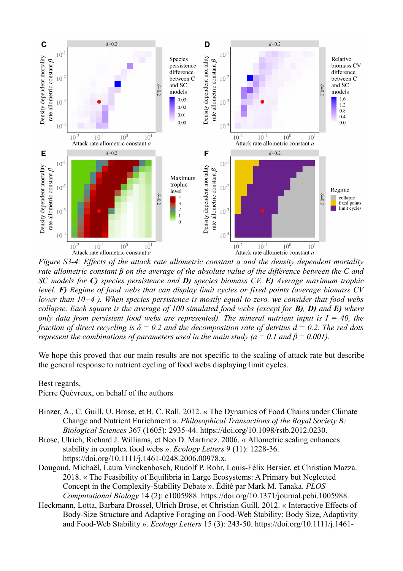

*Figure S3-4: Effects of the attack rate allometric constant a and the density dependent mortality rate allometric constant β on the average of the absolute value of the difference between the C and SC models for C) species persistence and D) species biomass CV. E) Average maximum trophic level. F) Regime of food webs that can display limit cycles or fixed points (average biomass CV lower than 10−4 ). When species persistence is mostly equal to zero, we consider that food webs collapse. Each square is the average of 100 simulated food webs (except for B), D) and E) where only data from persistent food webs are represented). The mineral nutrient input is*  $I = 40$ *, the fraction of direct recycling is*  $\delta = 0.2$  *and the decomposition rate of detritus d = 0.2. The red dots represent the combinations of parameters used in the main study (a = 0.1 and*  $\beta$  *= 0.001).* 

We hope this proved that our main results are not specific to the scaling of attack rate but describe the general response to nutrient cycling of food webs displaying limit cycles.

#### Best regards,

Pierre Quévreux, on behalf of the authors

- Binzer, A., C. Guill, U. Brose, et B. C. Rall. 2012. « The Dynamics of Food Chains under Climate Change and Nutrient Enrichment ». *Philosophical Transactions of the Royal Society B: Biological Sciences* 367 (1605): 2935-44. https://doi.org/10.1098/rstb.2012.0230.
- Brose, Ulrich, Richard J. Williams, et Neo D. Martinez. 2006. « Allometric scaling enhances stability in complex food webs ». *Ecology Letters* 9 (11): 1228-36. https://doi.org/10.1111/j.1461-0248.2006.00978.x.
- Dougoud, Michaël, Laura Vinckenbosch, Rudolf P. Rohr, Louis-Félix Bersier, et Christian Mazza. 2018. « The Feasibility of Equilibria in Large Ecosystems: A Primary but Neglected Concept in the Complexity-Stability Debate ». Édité par Mark M. Tanaka. *PLOS Computational Biology* 14 (2): e1005988. https://doi.org/10.1371/journal.pcbi.1005988.
- Heckmann, Lotta, Barbara Drossel, Ulrich Brose, et Christian Guill. 2012. « Interactive Effects of Body-Size Structure and Adaptive Foraging on Food-Web Stability: Body Size, Adaptivity and Food-Web Stability ». *Ecology Letters* 15 (3): 243-50. https://doi.org/10.1111/j.1461-